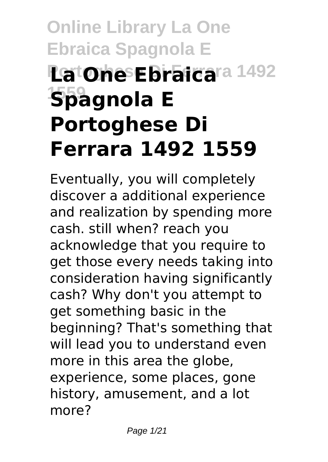# **Online Library La One Ebraica Spagnola E Latone Ebraicara 1492 1559 Spagnola E Portoghese Di Ferrara 1492 1559**

Eventually, you will completely discover a additional experience and realization by spending more cash. still when? reach you acknowledge that you require to get those every needs taking into consideration having significantly cash? Why don't you attempt to get something basic in the beginning? That's something that will lead you to understand even more in this area the globe, experience, some places, gone history, amusement, and a lot more?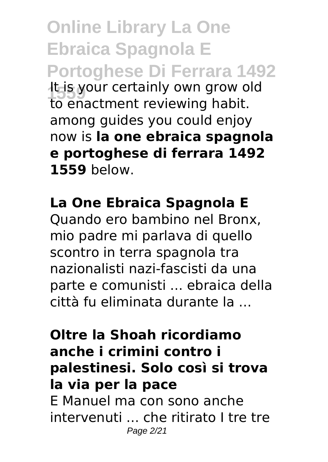**Online Library La One Ebraica Spagnola E Portoghese Di Ferrara 1492 1559** It is your certainly own grow old to enactment reviewing habit. among guides you could enjoy now is **la one ebraica spagnola e portoghese di ferrara 1492 1559** below.

#### **La One Ebraica Spagnola E**

Quando ero bambino nel Bronx, mio padre mi parlava di quello scontro in terra spagnola tra nazionalisti nazi-fascisti da una parte e comunisti ... ebraica della città fu eliminata durante la ...

#### **Oltre la Shoah ricordiamo anche i crimini contro i palestinesi. Solo così si trova la via per la pace** E Manuel ma con sono anche intervenuti ... che ritirato I tre tre Page 2/21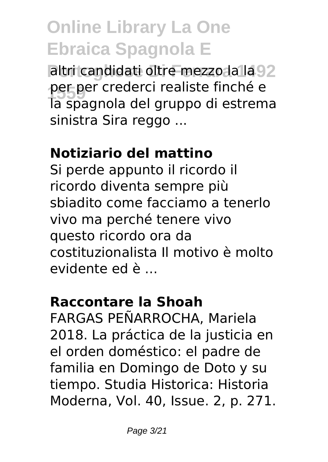altri candidati oltre mezzo la la 92 **1559** per per crederci realiste finché e la spagnola del gruppo di estrema sinistra Sira reggo ...

#### **Notiziario del mattino**

Si perde appunto il ricordo il ricordo diventa sempre più sbiadito come facciamo a tenerlo vivo ma perché tenere vivo questo ricordo ora da costituzionalista Il motivo è molto evidente ed è ...

#### **Raccontare la Shoah**

FARGAS PEÑARROCHA, Mariela 2018. La práctica de la justicia en el orden doméstico: el padre de familia en Domingo de Doto y su tiempo. Studia Historica: Historia Moderna, Vol. 40, Issue. 2, p. 271.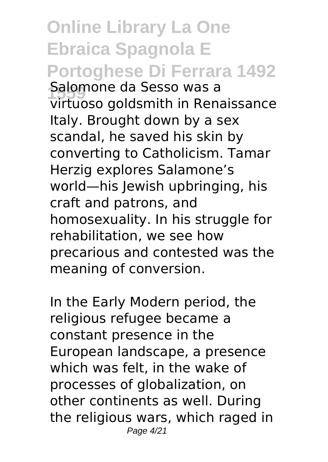**Online Library La One Ebraica Spagnola E Portoghese Di Ferrara 1492 1559** Salomone da Sesso was a virtuoso goldsmith in Renaissance Italy. Brought down by a sex scandal, he saved his skin by converting to Catholicism. Tamar Herzig explores Salamone's world—his Jewish upbringing, his craft and patrons, and homosexuality. In his struggle for rehabilitation, we see how precarious and contested was the meaning of conversion.

In the Early Modern period, the religious refugee became a constant presence in the European landscape, a presence which was felt, in the wake of processes of globalization, on other continents as well. During the religious wars, which raged in Page 4/21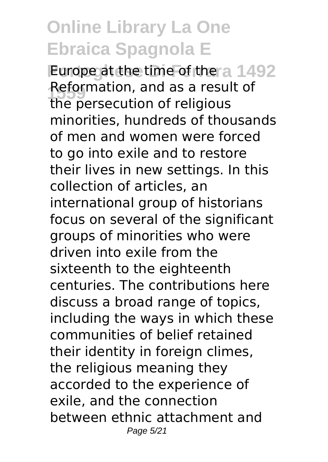**Purope at the time of the a 1492 Reformation, and as a result of**<br>the persecution of religious the persecution of religious minorities, hundreds of thousands of men and women were forced to go into exile and to restore their lives in new settings. In this collection of articles, an international group of historians focus on several of the significant groups of minorities who were driven into exile from the sixteenth to the eighteenth centuries. The contributions here discuss a broad range of topics, including the ways in which these communities of belief retained their identity in foreign climes, the religious meaning they accorded to the experience of exile, and the connection between ethnic attachment and Page 5/21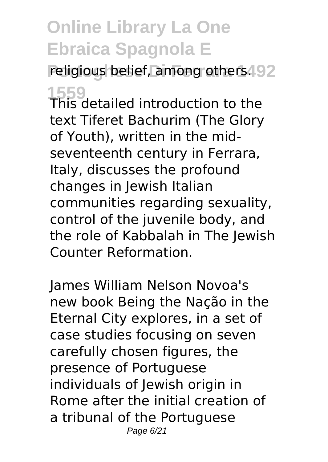religious belief, among others. 92

**1559** This detailed introduction to the text Tiferet Bachurim (The Glory of Youth), written in the midseventeenth century in Ferrara, Italy, discusses the profound changes in Jewish Italian communities regarding sexuality, control of the juvenile body, and the role of Kabbalah in The Jewish Counter Reformation.

James William Nelson Novoa's new book Being the Nação in the Eternal City explores, in a set of case studies focusing on seven carefully chosen figures, the presence of Portuguese individuals of Jewish origin in Rome after the initial creation of a tribunal of the Portuguese Page 6/21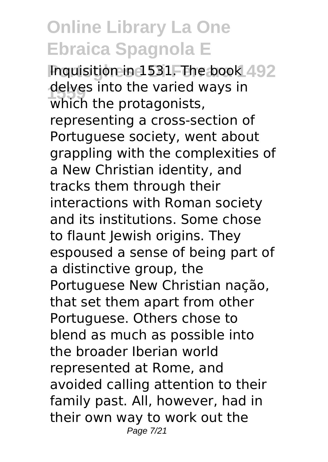**Inquisition in 1531. The book 492** delves into the varied ways in<br>which the protagonists which the protagonists, representing a cross-section of Portuguese society, went about grappling with the complexities of a New Christian identity, and tracks them through their interactions with Roman society and its institutions. Some chose to flaunt Jewish origins. They espoused a sense of being part of a distinctive group, the Portuguese New Christian nação, that set them apart from other Portuguese. Others chose to blend as much as possible into the broader Iberian world represented at Rome, and avoided calling attention to their family past. All, however, had in their own way to work out the Page 7/21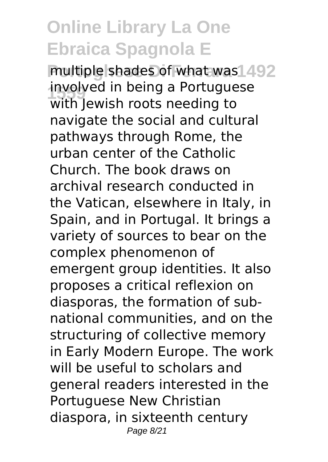multiple shades of what was 1492 involved in being a Portuguese<br>with lowish reats peoding to with Jewish roots needing to navigate the social and cultural pathways through Rome, the urban center of the Catholic Church. The book draws on archival research conducted in the Vatican, elsewhere in Italy, in Spain, and in Portugal. It brings a variety of sources to bear on the complex phenomenon of emergent group identities. It also proposes a critical reflexion on diasporas, the formation of subnational communities, and on the structuring of collective memory in Early Modern Europe. The work will be useful to scholars and general readers interested in the Portuguese New Christian diaspora, in sixteenth century Page 8/21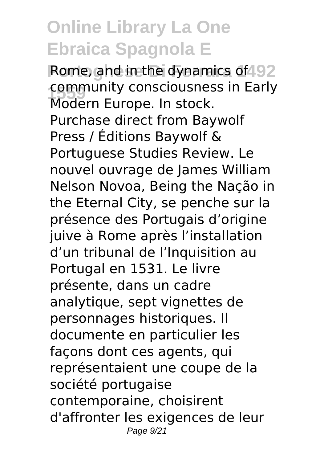Rome, and in the dynamics of 92 community consciousness in Early<br>Modern Europe, In steek Modern Europe. In stock. Purchase direct from Baywolf Press / Éditions Baywolf & Portuguese Studies Review. Le nouvel ouvrage de James William Nelson Novoa, Being the Nação in the Eternal City, se penche sur la présence des Portugais d'origine juive à Rome après l'installation d'un tribunal de l'Inquisition au Portugal en 1531. Le livre présente, dans un cadre analytique, sept vignettes de personnages historiques. Il documente en particulier les façons dont ces agents, qui représentaient une coupe de la société portugaise contemporaine, choisirent d'affronter les exigences de leur Page  $9/21$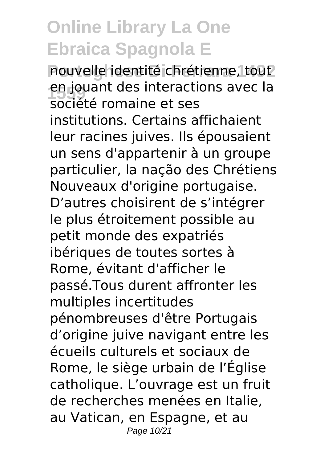nouvelle identité chrétienne, tout en jouant des interactions avec la<br>cosiété remaine et ses société romaine et ses institutions. Certains affichaient leur racines juives. Ils épousaient un sens d'appartenir à un groupe particulier, la nação des Chrétiens Nouveaux d'origine portugaise. D'autres choisirent de s'intégrer le plus étroitement possible au petit monde des expatriés ibériques de toutes sortes à Rome, évitant d'afficher le passé.Tous durent affronter les multiples incertitudes pénombreuses d'être Portugais d'origine juive navigant entre les écueils culturels et sociaux de Rome, le siège urbain de l'Église catholique. L'ouvrage est un fruit de recherches menées en Italie, au Vatican, en Espagne, et au Page 10/21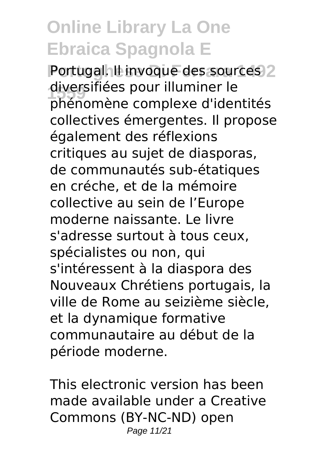Portugal. IL invoque des sources 2 diversifiées pour illuminer le phénomène complexe d'identités collectives émergentes. Il propose également des réflexions critiques au sujet de diasporas, de communautés sub-étatiques en créche, et de la mémoire collective au sein de l'Europe moderne naissante. Le livre s'adresse surtout à tous ceux, spécialistes ou non, qui s'intéressent à la diaspora des Nouveaux Chrétiens portugais, la ville de Rome au seizième siècle, et la dynamique formative communautaire au début de la période moderne.

This electronic version has been made available under a Creative Commons (BY-NC-ND) open Page 11/21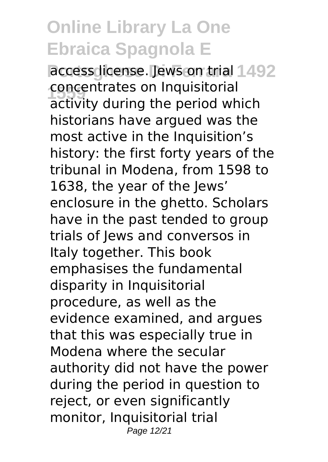access dicense. Jews on trial 1492 **concentrates on Inquisitorial**<br>activity during the period wh activity during the period which historians have argued was the most active in the Inquisition's history: the first forty years of the tribunal in Modena, from 1598 to 1638, the year of the Jews' enclosure in the ghetto. Scholars have in the past tended to group trials of Jews and conversos in Italy together. This book emphasises the fundamental disparity in Inquisitorial procedure, as well as the evidence examined, and argues that this was especially true in Modena where the secular authority did not have the power during the period in question to reject, or even significantly monitor, Inquisitorial trial Page 12/21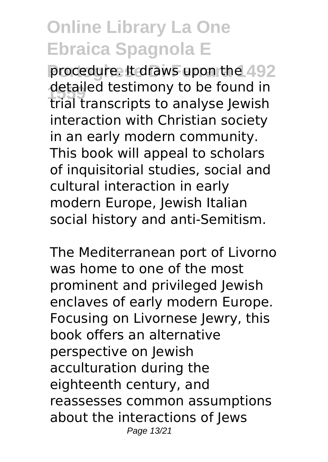procedure. It draws upon the 492 detailed testimony to be found in<br>this transcripts to analyse lowish trial transcripts to analyse Jewish interaction with Christian society in an early modern community. This book will appeal to scholars of inquisitorial studies, social and cultural interaction in early modern Europe, Jewish Italian social history and anti-Semitism.

The Mediterranean port of Livorno was home to one of the most prominent and privileged Jewish enclaves of early modern Europe. Focusing on Livornese Jewry, this book offers an alternative perspective on Jewish acculturation during the eighteenth century, and reassesses common assumptions about the interactions of Jews Page 13/21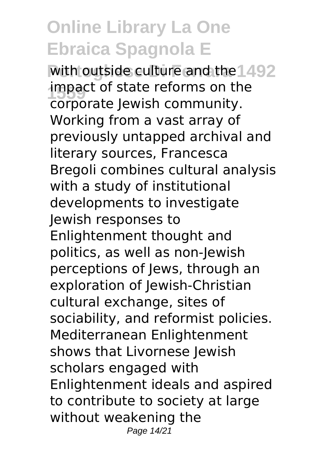with outside culture and the 1492 impact of state reforms on the corporate Jewish community. Working from a vast array of previously untapped archival and literary sources, Francesca Bregoli combines cultural analysis with a study of institutional developments to investigate Jewish responses to Enlightenment thought and politics, as well as non-Jewish perceptions of Jews, through an exploration of Jewish-Christian cultural exchange, sites of sociability, and reformist policies. Mediterranean Enlightenment shows that Livornese Jewish scholars engaged with Enlightenment ideals and aspired to contribute to society at large without weakening the Page 14/21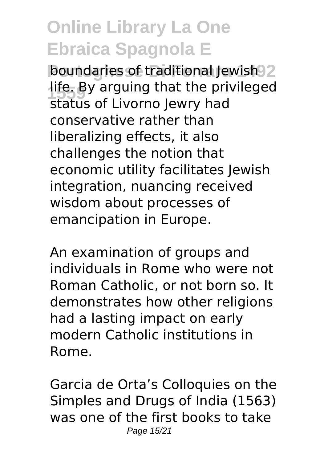**boundaries of traditional Jewish 92** life. By arguing that the privileged status of Livorno Jewry had conservative rather than liberalizing effects, it also challenges the notion that economic utility facilitates Jewish integration, nuancing received wisdom about processes of emancipation in Europe.

An examination of groups and individuals in Rome who were not Roman Catholic, or not born so. It demonstrates how other religions had a lasting impact on early modern Catholic institutions in Rome.

Garcia de Orta's Colloquies on the Simples and Drugs of India (1563) was one of the first books to take Page 15/21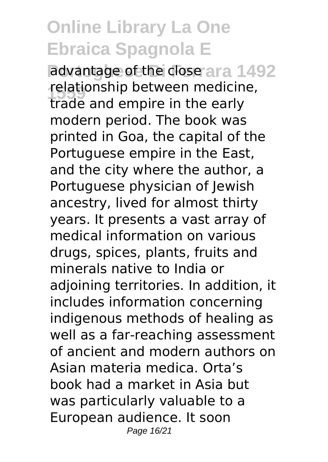advantage of the close ara 1492 **1559** relationship between medicine, trade and empire in the early modern period. The book was printed in Goa, the capital of the Portuguese empire in the East, and the city where the author, a Portuguese physician of Jewish ancestry, lived for almost thirty years. It presents a vast array of medical information on various drugs, spices, plants, fruits and minerals native to India or adjoining territories. In addition, it includes information concerning indigenous methods of healing as well as a far-reaching assessment of ancient and modern authors on Asian materia medica. Orta's book had a market in Asia but was particularly valuable to a European audience. It soon Page 16/21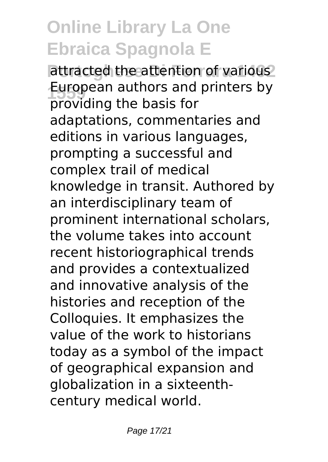attracted the attention of various<sup>2</sup> **European authors and printers by**<br>**Infinition** the basis for providing the basis for adaptations, commentaries and editions in various languages, prompting a successful and complex trail of medical knowledge in transit. Authored by an interdisciplinary team of prominent international scholars, the volume takes into account recent historiographical trends and provides a contextualized and innovative analysis of the histories and reception of the Colloquies. It emphasizes the value of the work to historians today as a symbol of the impact of geographical expansion and globalization in a sixteenthcentury medical world.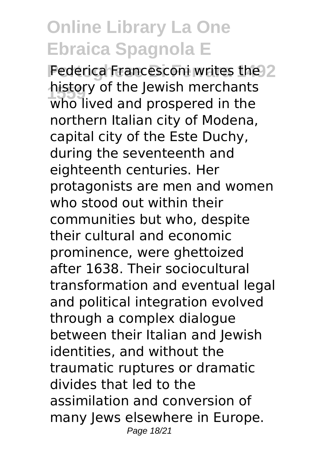Federica Francesconi writes the 2 history of the Jewish merchants<br>who lived and presented in the who lived and prospered in the northern Italian city of Modena, capital city of the Este Duchy, during the seventeenth and eighteenth centuries. Her protagonists are men and women who stood out within their communities but who, despite their cultural and economic prominence, were ghettoized after 1638. Their sociocultural transformation and eventual legal and political integration evolved through a complex dialogue between their Italian and Jewish identities, and without the traumatic ruptures or dramatic divides that led to the assimilation and conversion of many Jews elsewhere in Europe. Page 18/21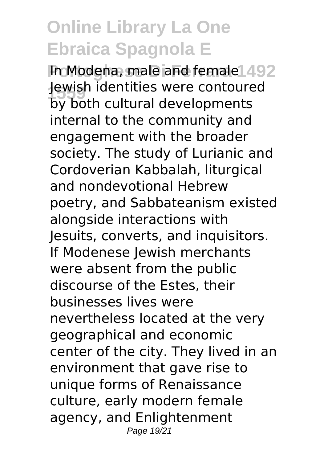**In Modena, male and female 492 1559** Jewish identities were contoured by both cultural developments internal to the community and engagement with the broader society. The study of Lurianic and Cordoverian Kabbalah, liturgical and nondevotional Hebrew poetry, and Sabbateanism existed alongside interactions with Jesuits, converts, and inquisitors. If Modenese Jewish merchants were absent from the public discourse of the Estes, their businesses lives were nevertheless located at the very geographical and economic center of the city. They lived in an environment that gave rise to unique forms of Renaissance culture, early modern female agency, and Enlightenment Page 19/21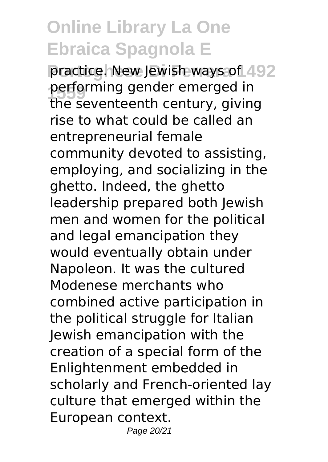practice. New Jewish ways of 492 **performing gender emerged in**<br>the coventeenth century, giving the seventeenth century, giving rise to what could be called an entrepreneurial female community devoted to assisting, employing, and socializing in the ghetto. Indeed, the ghetto leadership prepared both Jewish men and women for the political and legal emancipation they would eventually obtain under Napoleon. It was the cultured Modenese merchants who combined active participation in the political struggle for Italian Jewish emancipation with the creation of a special form of the Enlightenment embedded in scholarly and French-oriented lay culture that emerged within the European context. Page 20/21